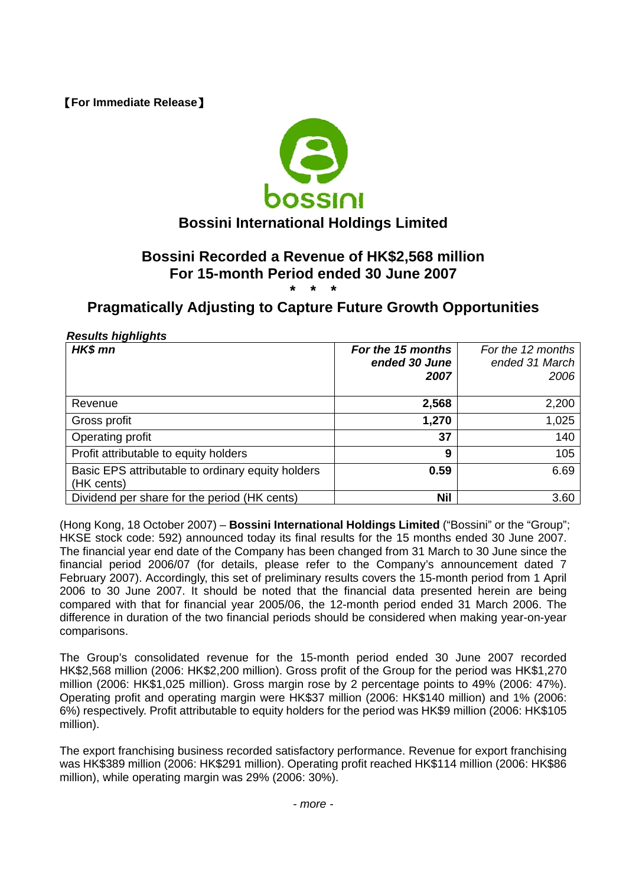【**For Immediate Release**】



# **Bossini International Holdings Limited**

#### **Bossini Recorded a Revenue of HK\$2,568 million For 15-month Period ended 30 June 2007 \* \* \***

# **Pragmatically Adjusting to Capture Future Growth Opportunities**

## *Results highlights*

| HK\$ mn                                                         | For the 15 months<br>ended 30 June<br>2007 | For the 12 months<br>ended 31 March<br>2006 |
|-----------------------------------------------------------------|--------------------------------------------|---------------------------------------------|
| Revenue                                                         | 2,568                                      | 2,200                                       |
| Gross profit                                                    | 1,270                                      | 1,025                                       |
| Operating profit                                                | 37                                         | 140                                         |
| Profit attributable to equity holders                           | 9                                          | 105                                         |
| Basic EPS attributable to ordinary equity holders<br>(HK cents) | 0.59                                       | 6.69                                        |
| Dividend per share for the period (HK cents)                    | <b>Nil</b>                                 | 3.60                                        |

(Hong Kong, 18 October 2007) – **Bossini International Holdings Limited** ("Bossini" or the "Group"; HKSE stock code: 592) announced today its final results for the 15 months ended 30 June 2007. The financial year end date of the Company has been changed from 31 March to 30 June since the financial period 2006/07 (for details, please refer to the Company's announcement dated 7 February 2007). Accordingly, this set of preliminary results covers the 15-month period from 1 April 2006 to 30 June 2007. It should be noted that the financial data presented herein are being compared with that for financial year 2005/06, the 12-month period ended 31 March 2006. The difference in duration of the two financial periods should be considered when making year-on-year comparisons.

The Group's consolidated revenue for the 15-month period ended 30 June 2007 recorded HK\$2,568 million (2006: HK\$2,200 million). Gross profit of the Group for the period was HK\$1,270 million (2006: HK\$1,025 million). Gross margin rose by 2 percentage points to 49% (2006: 47%). Operating profit and operating margin were HK\$37 million (2006: HK\$140 million) and 1% (2006: 6%) respectively. Profit attributable to equity holders for the period was HK\$9 million (2006: HK\$105 million).

The export franchising business recorded satisfactory performance. Revenue for export franchising was HK\$389 million (2006: HK\$291 million). Operating profit reached HK\$114 million (2006: HK\$86 million), while operating margin was 29% (2006: 30%).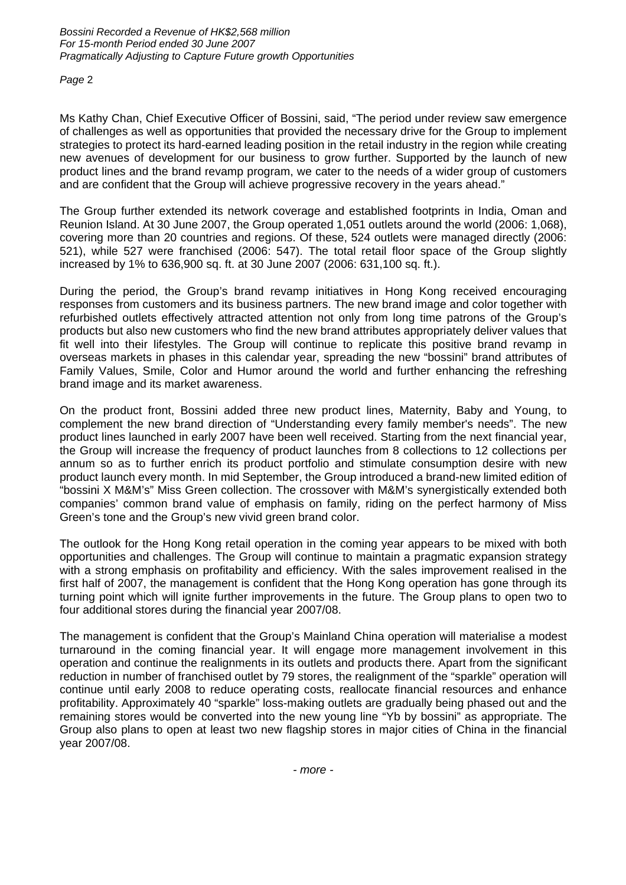*Page* 2

Ms Kathy Chan, Chief Executive Officer of Bossini, said, "The period under review saw emergence of challenges as well as opportunities that provided the necessary drive for the Group to implement strategies to protect its hard-earned leading position in the retail industry in the region while creating new avenues of development for our business to grow further. Supported by the launch of new product lines and the brand revamp program, we cater to the needs of a wider group of customers and are confident that the Group will achieve progressive recovery in the years ahead."

The Group further extended its network coverage and established footprints in India, Oman and Reunion Island. At 30 June 2007, the Group operated 1,051 outlets around the world (2006: 1,068), covering more than 20 countries and regions. Of these, 524 outlets were managed directly (2006: 521), while 527 were franchised (2006: 547). The total retail floor space of the Group slightly increased by 1% to 636,900 sq. ft. at 30 June 2007 (2006: 631,100 sq. ft.).

During the period, the Group's brand revamp initiatives in Hong Kong received encouraging responses from customers and its business partners. The new brand image and color together with refurbished outlets effectively attracted attention not only from long time patrons of the Group's products but also new customers who find the new brand attributes appropriately deliver values that fit well into their lifestyles. The Group will continue to replicate this positive brand revamp in overseas markets in phases in this calendar year, spreading the new "bossini" brand attributes of Family Values, Smile, Color and Humor around the world and further enhancing the refreshing brand image and its market awareness.

On the product front, Bossini added three new product lines, Maternity, Baby and Young, to complement the new brand direction of "Understanding every family member's needs". The new product lines launched in early 2007 have been well received. Starting from the next financial year, the Group will increase the frequency of product launches from 8 collections to 12 collections per annum so as to further enrich its product portfolio and stimulate consumption desire with new product launch every month. In mid September, the Group introduced a brand-new limited edition of "bossini X M&M's" Miss Green collection. The crossover with M&M's synergistically extended both companies' common brand value of emphasis on family, riding on the perfect harmony of Miss Green's tone and the Group's new vivid green brand color.

The outlook for the Hong Kong retail operation in the coming year appears to be mixed with both opportunities and challenges. The Group will continue to maintain a pragmatic expansion strategy with a strong emphasis on profitability and efficiency. With the sales improvement realised in the first half of 2007, the management is confident that the Hong Kong operation has gone through its turning point which will ignite further improvements in the future. The Group plans to open two to four additional stores during the financial year 2007/08.

The management is confident that the Group's Mainland China operation will materialise a modest turnaround in the coming financial year. It will engage more management involvement in this operation and continue the realignments in its outlets and products there. Apart from the significant reduction in number of franchised outlet by 79 stores, the realignment of the "sparkle" operation will continue until early 2008 to reduce operating costs, reallocate financial resources and enhance profitability. Approximately 40 "sparkle" loss-making outlets are gradually being phased out and the remaining stores would be converted into the new young line "Yb by bossini" as appropriate. The Group also plans to open at least two new flagship stores in major cities of China in the financial year 2007/08.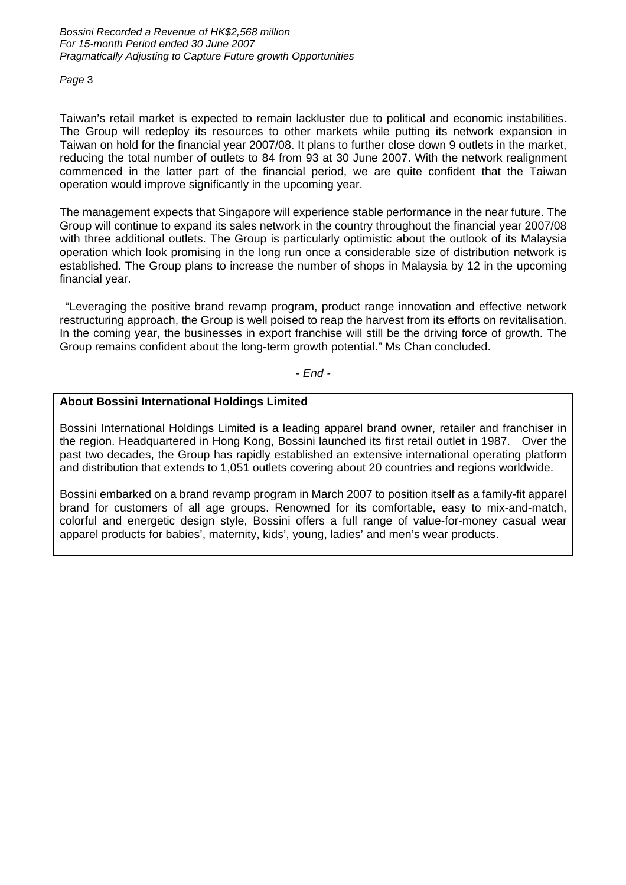#### *Page* 3

Taiwan's retail market is expected to remain lackluster due to political and economic instabilities. The Group will redeploy its resources to other markets while putting its network expansion in Taiwan on hold for the financial year 2007/08. It plans to further close down 9 outlets in the market, reducing the total number of outlets to 84 from 93 at 30 June 2007. With the network realignment commenced in the latter part of the financial period, we are quite confident that the Taiwan operation would improve significantly in the upcoming year.

The management expects that Singapore will experience stable performance in the near future. The Group will continue to expand its sales network in the country throughout the financial year 2007/08 with three additional outlets. The Group is particularly optimistic about the outlook of its Malaysia operation which look promising in the long run once a considerable size of distribution network is established. The Group plans to increase the number of shops in Malaysia by 12 in the upcoming financial year.

 "Leveraging the positive brand revamp program, product range innovation and effective network restructuring approach, the Group is well poised to reap the harvest from its efforts on revitalisation. In the coming year, the businesses in export franchise will still be the driving force of growth. The Group remains confident about the long-term growth potential." Ms Chan concluded.

*- End -* 

### **About Bossini International Holdings Limited**

Bossini International Holdings Limited is a leading apparel brand owner, retailer and franchiser in the region. Headquartered in Hong Kong, Bossini launched its first retail outlet in 1987. Over the past two decades, the Group has rapidly established an extensive international operating platform and distribution that extends to 1,051 outlets covering about 20 countries and regions worldwide.

Bossini embarked on a brand revamp program in March 2007 to position itself as a family-fit apparel brand for customers of all age groups. Renowned for its comfortable, easy to mix-and-match, colorful and energetic design style, Bossini offers a full range of value-for-money casual wear apparel products for babies', maternity, kids', young, ladies' and men's wear products.